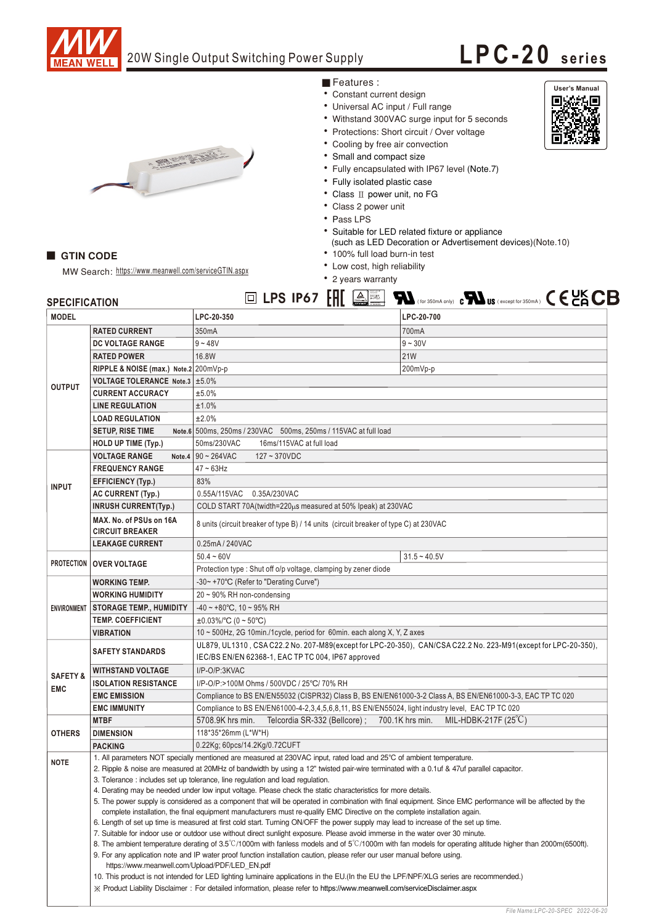

GTIN CODE

## 20W Single Output Switching Power Supply

## **LPC-20 seri es**

**User's Manual<br>
Elignation Company**<br> **DEPERTHENT** 

- Features :
- Constant current design
- Universal AC input / Full range
- Withstand 300VAC surge input for 5 seconds
- Protections: Short circuit / Over voltage
- Cooling by free air convection
- Small and compact size
- Fully encapsulated with IP67 level (Note.7)
- Fully isolated plastic case
- Class II power unit, no FG
- Class 2 power unit
- Pass LPS
- Suitable for LED related fixture or appliance (such as LED Decoration or Advertisement devices) (Note.10)
- 100% full load burn-in test
- Low cost, high reliability
- 2 years warranty

| <b>SPECIFICATION</b>                                                                                         |                                                                                                                                                                                                                                                                                                                                                                                                                        |                                                                                                                                                                                                                                                                  | $\boxed{0}$ LPS IP67 $\boxed{H}$ $\boxed{A}$ $\boxed{B}$ $\boxed{H}$ (for 350mA only) $\mathbf{c}$ $\boxed{M}$ US (except for 350mA) $\boxed{C}$ $\boxed{C}$ $\boxed{C}$ |
|--------------------------------------------------------------------------------------------------------------|------------------------------------------------------------------------------------------------------------------------------------------------------------------------------------------------------------------------------------------------------------------------------------------------------------------------------------------------------------------------------------------------------------------------|------------------------------------------------------------------------------------------------------------------------------------------------------------------------------------------------------------------------------------------------------------------|--------------------------------------------------------------------------------------------------------------------------------------------------------------------------|
| <b>MODEL</b>                                                                                                 |                                                                                                                                                                                                                                                                                                                                                                                                                        | LPC-20-350                                                                                                                                                                                                                                                       | LPC-20-700                                                                                                                                                               |
| <b>OUTPUT</b>                                                                                                | <b>RATED CURRENT</b>                                                                                                                                                                                                                                                                                                                                                                                                   | 350mA                                                                                                                                                                                                                                                            | 700mA                                                                                                                                                                    |
|                                                                                                              | DC VOLTAGE RANGE                                                                                                                                                                                                                                                                                                                                                                                                       | $9 - 48V$                                                                                                                                                                                                                                                        | $9 - 30V$                                                                                                                                                                |
|                                                                                                              | <b>RATED POWER</b>                                                                                                                                                                                                                                                                                                                                                                                                     | 16.8W                                                                                                                                                                                                                                                            | <b>21W</b>                                                                                                                                                               |
|                                                                                                              | RIPPLE & NOISE (max.) Note.2 200mVp-p                                                                                                                                                                                                                                                                                                                                                                                  |                                                                                                                                                                                                                                                                  | 200mVp-p                                                                                                                                                                 |
|                                                                                                              | VOLTAGE TOLERANCE Note.3 ±5.0%                                                                                                                                                                                                                                                                                                                                                                                         |                                                                                                                                                                                                                                                                  |                                                                                                                                                                          |
|                                                                                                              | <b>CURRENT ACCURACY</b>                                                                                                                                                                                                                                                                                                                                                                                                | ±5.0%                                                                                                                                                                                                                                                            |                                                                                                                                                                          |
|                                                                                                              | <b>LINE REGULATION</b>                                                                                                                                                                                                                                                                                                                                                                                                 | ±1.0%                                                                                                                                                                                                                                                            |                                                                                                                                                                          |
|                                                                                                              | <b>LOAD REGULATION</b>                                                                                                                                                                                                                                                                                                                                                                                                 | ±2.0%                                                                                                                                                                                                                                                            |                                                                                                                                                                          |
|                                                                                                              | <b>SETUP, RISE TIME</b>                                                                                                                                                                                                                                                                                                                                                                                                | Note.6 500ms, 250ms / 230VAC 500ms, 250ms / 115VAC at full load                                                                                                                                                                                                  |                                                                                                                                                                          |
|                                                                                                              | HOLD UP TIME (Typ.)                                                                                                                                                                                                                                                                                                                                                                                                    | 50ms/230VAC<br>16ms/115VAC at full load                                                                                                                                                                                                                          |                                                                                                                                                                          |
| <b>INPUT</b>                                                                                                 | <b>VOLTAGE RANGE</b>                                                                                                                                                                                                                                                                                                                                                                                                   | Note.4 $90 \sim 264$ VAC<br>$127 - 370$ VDC                                                                                                                                                                                                                      |                                                                                                                                                                          |
|                                                                                                              | <b>FREQUENCY RANGE</b>                                                                                                                                                                                                                                                                                                                                                                                                 | $47 \sim 63$ Hz                                                                                                                                                                                                                                                  |                                                                                                                                                                          |
|                                                                                                              | <b>EFFICIENCY (Typ.)</b>                                                                                                                                                                                                                                                                                                                                                                                               | 83%                                                                                                                                                                                                                                                              |                                                                                                                                                                          |
|                                                                                                              | <b>AC CURRENT (Typ.)</b>                                                                                                                                                                                                                                                                                                                                                                                               | 0.55A/115VAC 0.35A/230VAC                                                                                                                                                                                                                                        |                                                                                                                                                                          |
|                                                                                                              | <b>INRUSH CURRENT(Typ.)</b>                                                                                                                                                                                                                                                                                                                                                                                            | COLD START 70A(twidth=220µs measured at 50% Ipeak) at 230VAC                                                                                                                                                                                                     |                                                                                                                                                                          |
|                                                                                                              | MAX. No. of PSUs on 16A<br><b>CIRCUIT BREAKER</b>                                                                                                                                                                                                                                                                                                                                                                      | 8 units (circuit breaker of type B) / 14 units (circuit breaker of type C) at 230VAC                                                                                                                                                                             |                                                                                                                                                                          |
|                                                                                                              | <b>LEAKAGE CURRENT</b>                                                                                                                                                                                                                                                                                                                                                                                                 | 0.25mA / 240VAC                                                                                                                                                                                                                                                  |                                                                                                                                                                          |
| PROTECTION   OVER VOLTAGE                                                                                    |                                                                                                                                                                                                                                                                                                                                                                                                                        | $50.4 - 60V$                                                                                                                                                                                                                                                     | $31.5 - 40.5V$                                                                                                                                                           |
|                                                                                                              |                                                                                                                                                                                                                                                                                                                                                                                                                        | Protection type: Shut off o/p voltage, clamping by zener diode                                                                                                                                                                                                   |                                                                                                                                                                          |
|                                                                                                              | <b>WORKING TEMP.</b>                                                                                                                                                                                                                                                                                                                                                                                                   | -30~+70°C (Refer to "Derating Curve")                                                                                                                                                                                                                            |                                                                                                                                                                          |
|                                                                                                              | <b>WORKING HUMIDITY</b>                                                                                                                                                                                                                                                                                                                                                                                                | $20 \sim 90\%$ RH non-condensing                                                                                                                                                                                                                                 |                                                                                                                                                                          |
|                                                                                                              | ENVIRONMENT   STORAGE TEMP., HUMIDITY                                                                                                                                                                                                                                                                                                                                                                                  | $-40 \sim +80^{\circ}$ C, 10 ~ 95% RH                                                                                                                                                                                                                            |                                                                                                                                                                          |
|                                                                                                              | <b>TEMP. COEFFICIENT</b>                                                                                                                                                                                                                                                                                                                                                                                               | $\pm 0.03\%$ /°C (0 ~ 50°C)                                                                                                                                                                                                                                      |                                                                                                                                                                          |
|                                                                                                              | <b>VIBRATION</b>                                                                                                                                                                                                                                                                                                                                                                                                       | 10 ~ 500Hz, 2G 10min./1cycle, period for 60min. each along X, Y, Z axes                                                                                                                                                                                          |                                                                                                                                                                          |
|                                                                                                              | UL879, UL1310, CSAC22.2 No. 207-M89(except for LPC-20-350), CAN/CSAC22.2 No. 223-M91(except for LPC-20-350),<br><b>SAFETY STANDARDS</b><br>IEC/BS EN/EN 62368-1, EAC TP TC 004, IP67 approved                                                                                                                                                                                                                          |                                                                                                                                                                                                                                                                  |                                                                                                                                                                          |
|                                                                                                              | <b>WITHSTAND VOLTAGE</b>                                                                                                                                                                                                                                                                                                                                                                                               | I/P-O/P:3KVAC                                                                                                                                                                                                                                                    |                                                                                                                                                                          |
| <b>SAFETY &amp;</b>                                                                                          | <b>ISOLATION RESISTANCE</b>                                                                                                                                                                                                                                                                                                                                                                                            | I/P-O/P:>100M Ohms / 500VDC / 25°C/ 70% RH                                                                                                                                                                                                                       |                                                                                                                                                                          |
| <b>EMC</b>                                                                                                   | <b>EMC EMISSION</b>                                                                                                                                                                                                                                                                                                                                                                                                    | Compliance to BS EN/EN55032 (CISPR32) Class B, BS EN/EN61000-3-2 Class A, BS EN/EN61000-3-3, EAC TP TC 020                                                                                                                                                       |                                                                                                                                                                          |
|                                                                                                              | <b>EMC IMMUNITY</b>                                                                                                                                                                                                                                                                                                                                                                                                    | Compliance to BS EN/EN61000-4-2,3,4,5,6,8,11, BS EN/EN55024, light industry level, EAC TP TC 020                                                                                                                                                                 |                                                                                                                                                                          |
|                                                                                                              | <b>MTBF</b>                                                                                                                                                                                                                                                                                                                                                                                                            | 5708.9K hrs min.<br>Telcordia SR-332 (Bellcore) ;                                                                                                                                                                                                                | 700.1K hrs min.<br>MIL-HDBK-217F $(25^{\circ}C)$                                                                                                                         |
| <b>OTHERS</b>                                                                                                | <b>DIMENSION</b>                                                                                                                                                                                                                                                                                                                                                                                                       | 118*35*26mm (L*W*H)                                                                                                                                                                                                                                              |                                                                                                                                                                          |
|                                                                                                              | <b>PACKING</b>                                                                                                                                                                                                                                                                                                                                                                                                         | 0.22Kg; 60pcs/14.2Kg/0.72CUFT                                                                                                                                                                                                                                    |                                                                                                                                                                          |
| <b>NOTE</b>                                                                                                  |                                                                                                                                                                                                                                                                                                                                                                                                                        | 1. All parameters NOT specially mentioned are measured at 230VAC input, rated load and 25°C of ambient temperature.                                                                                                                                              |                                                                                                                                                                          |
|                                                                                                              | 2. Ripple & noise are measured at 20MHz of bandwidth by using a 12" twisted pair-wire terminated with a 0.1uf & 47uf parallel capacitor.                                                                                                                                                                                                                                                                               |                                                                                                                                                                                                                                                                  |                                                                                                                                                                          |
|                                                                                                              | 3. Tolerance : includes set up tolerance, line regulation and load regulation.                                                                                                                                                                                                                                                                                                                                         |                                                                                                                                                                                                                                                                  |                                                                                                                                                                          |
| 4. Derating may be needed under low input voltage. Please check the static characteristics for more details. |                                                                                                                                                                                                                                                                                                                                                                                                                        |                                                                                                                                                                                                                                                                  |                                                                                                                                                                          |
|                                                                                                              |                                                                                                                                                                                                                                                                                                                                                                                                                        | 5. The power supply is considered as a component that will be operated in combination with final equipment. Since EMC performance will be affected by the                                                                                                        |                                                                                                                                                                          |
|                                                                                                              |                                                                                                                                                                                                                                                                                                                                                                                                                        | complete installation, the final equipment manufacturers must re-qualify EMC Directive on the complete installation again.<br>6. Length of set up time is measured at first cold start. Turning ON/OFF the power supply may lead to increase of the set up time. |                                                                                                                                                                          |
|                                                                                                              | 7. Suitable for indoor use or outdoor use without direct sunlight exposure. Please avoid immerse in the water over 30 minute.<br>8. The ambient temperature derating of 3.5°C/1000m with fanless models and of 5°C/1000m with fan models for operating altitude higher than 2000m(6500ft).<br>9. For any application note and IP water proof function installation caution, please refer our user manual before using. |                                                                                                                                                                                                                                                                  |                                                                                                                                                                          |
|                                                                                                              |                                                                                                                                                                                                                                                                                                                                                                                                                        |                                                                                                                                                                                                                                                                  |                                                                                                                                                                          |
|                                                                                                              |                                                                                                                                                                                                                                                                                                                                                                                                                        |                                                                                                                                                                                                                                                                  |                                                                                                                                                                          |
|                                                                                                              |                                                                                                                                                                                                                                                                                                                                                                                                                        | https://www.meanwell.com/Upload/PDF/LED_EN.pdf                                                                                                                                                                                                                   |                                                                                                                                                                          |
|                                                                                                              |                                                                                                                                                                                                                                                                                                                                                                                                                        | 10. This product is not intended for LED lighting luminaire applications in the EU. (In the EU the LPF/NPF/XLG series are recommended.)                                                                                                                          |                                                                                                                                                                          |
|                                                                                                              |                                                                                                                                                                                                                                                                                                                                                                                                                        | X Product Liability Disclaimer: For detailed information, please refer to https://www.meanwell.com/serviceDisclaimer.aspx                                                                                                                                        |                                                                                                                                                                          |



MW Search: https://www.meanwell.com/serviceGTIN.aspx